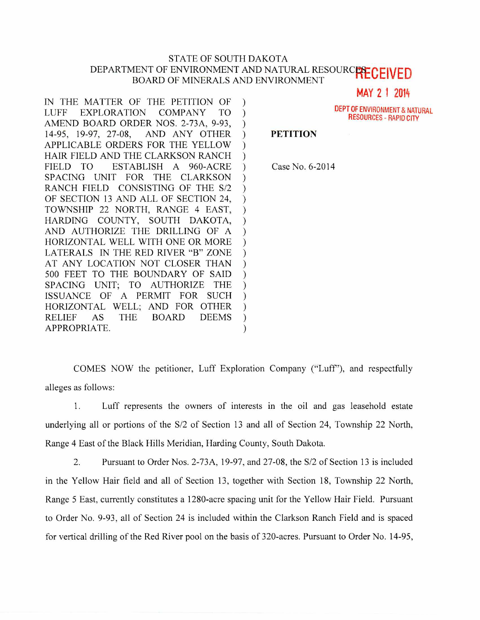## STATE OF SOUTH DAKOTA DEPARTMENT OF ENVIRONMENT AND NATURAL RESOURCELLED BOARD OF MINERALS AND ENVIRONMENT

MAY 2 1 2014

IN THE MATTER OF THE PETITION OF  $\mathcal{E}$ LUFF EXPLORATION COMPANY TO  $\mathcal{L}$ AMEND BOARD ORDER NOS. 2-73A, 9-93,  $\mathcal{L}$ 14-95, 19-97, 27-08, AND ANY OTHER  $\mathcal{E}$ APPLICABLE ORDERS FOR THE YELLOW € HAIR FIELD AND THE CLARKSON RANCH  $\mathcal{L}$ FIELD TO ESTABLISH A 960-ACRE  $\mathcal{L}$ SPACING UNIT FOR THE CLARKSON  $\mathcal{E}$ RANCH FIELD CONSISTING OF THE S/2  $\mathcal{E}$ OF SECTION 13 AND ALL OF SECTION 24,  $\mathcal{E}$ TOWNSHIP 22 NORTH, RANGE 4 EAST,  $\lambda$ HARDING COUNTY, SOUTH DAKOTA,  $\mathcal{L}$ AND AUTHORIZE THE DRILLING OF A  $\mathcal{E}$ HORIZONTAL WELL WITH ONE OR MORE  $\mathcal{E}$ LATERALS IN THE RED RIVER "B" ZONE  $\mathcal{E}$ AT ANY LOCATION NOT CLOSER THAN  $\mathcal{E}$ 500 FEET TO THE BOUNDARY OF SAID  $\mathcal{E}$ 

SPACING UNIT; TO AUTHORIZE THE ISSUANCE OF A PERMIT FOR SUCH HORIZONTAL WELL; AND FOR OTHER RELIEF AS THE BOARD DEEMS

APPROPRIATE.

DEPT OF ENVIRONMENT & NATURAL RESOURCES - RAPID CITY

## **PETITION**

Case No. 6-2014

COMES NOW the petitioner, Luff Exploration Company ("Luff'), and respectfully alleges as follows:

Í  $\mathcal{E}$  $\mathcal{E}$  $\mathcal{C}$  $\mathcal{E}$ 

1. Luff represents the owners of interests in the oil and gas leasehold estate underlying all or portions of the S/2 of Section 13 and all of Section 24, Township 22 North, Range 4 East of the Black Hills Meridian, Harding County, South Dakota.

2. Pursuant to Order Nos. 2-73A, 19-97, and 27-08, the S/2 of Section 13 is included in the Yellow Hair field and all of Section 13, together with Section 18, Township 22 North, Range 5 East, currently constitutes a 1280-acre spacing unit for the Yellow Hair Field. Pursuant to Order No. 9-93, all of Section 24 is included within the Clarkson Ranch Field and is spaced for vertical drilling of the Red River pool on the basis of 320-acres. Pursuant to Order No. 14-95,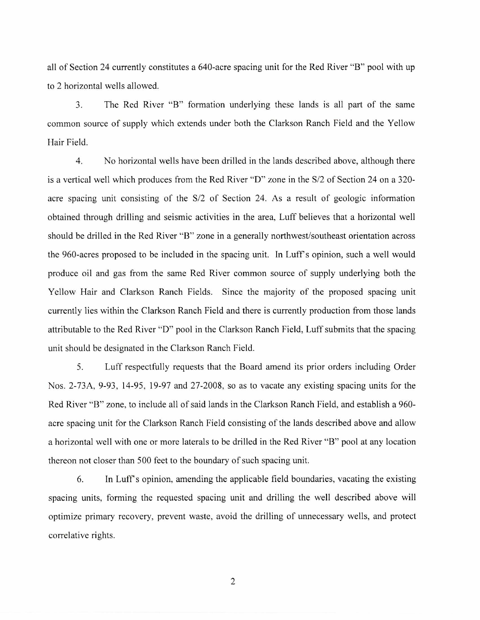all of Section 24 currently constitutes a 640-acre spacing unit for the Red River "B" pool with up to 2 horizontal wells allowed.

3. The Red River "B" formation underlying these lands is all part of the same common source of supply which extends under both the Clarkson Ranch Field and the Yellow Hair Field.

4. No horizontal wells have been drilled in the lands described above, although there is a vertical well which produces from the Red River "D" zone in the S/2 of Section 24 on a 320 acre spacing unit consisting of the S/2 of Section 24. As a result of geologic information obtained through drilling and seismic activities in the area, Luff believes that a horizontal well should be drilled in the Red River "B" zone in a generally northwest/southeast orientation across the 960-acres proposed to be included in the spacing unit. In Luff's opinion, such a well would produce oil and gas from the same Red River common source of supply underlying both the Yellow Hair and Clarkson Ranch Fields. Since the majority of the proposed spacing unit currently lies within the Clarkson Ranch Field and there is currently production from those lands attributable to the Red River "D" pool in the Clarkson Ranch Field, Luff submits that the spacing unit should be designated in the Clarkson Ranch Field.

5. Luff respectfully requests that the Board amend its prior orders including Order Nos. 2-73A, 9-93, 14-95, 19-97 and 27-2008, so as to vacate any existing spacing units for the Red River "B" zone, to include all of said lands in the Clarkson Ranch Field, and establish a 960 acre spacing unit for the Clarkson Ranch Field consisting of the lands described above and allow a horizontal well with one or more laterals to be drilled in the Red River "B" pool at any location thereon not closer than 500 feet to the boundary of such spacing unit.

6. In Luff's opinion, amending the applicable field boundaries, vacating the existing spacing units, forming the requested spacing unit and drilling the well described above will optimize primary recovery, prevent waste, avoid the drilling of unnecessary wells, and protect correlative rights.

2